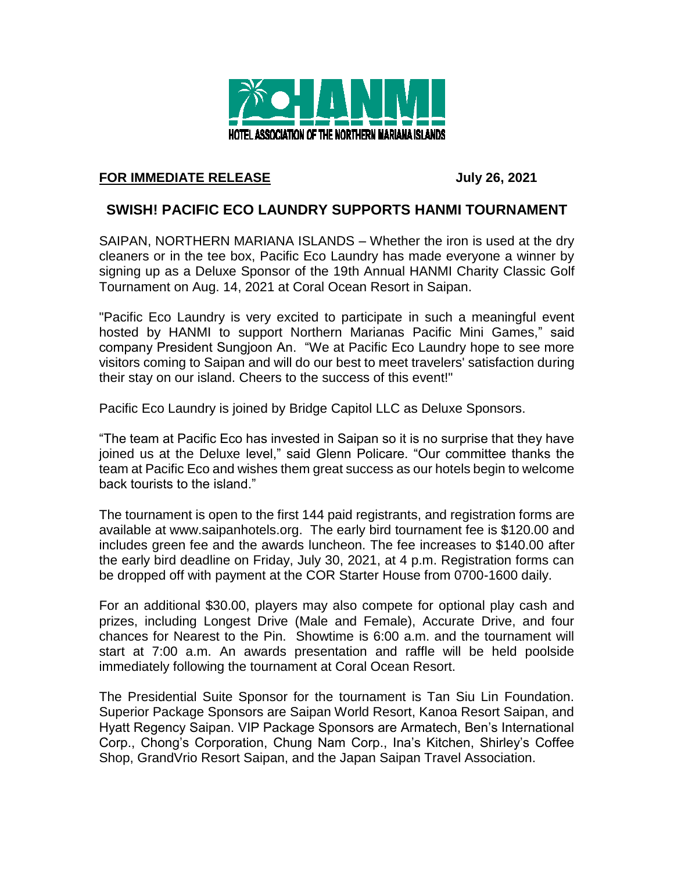

## **FOR IMMEDIATE RELEASE July 26, 2021**

## **SWISH! PACIFIC ECO LAUNDRY SUPPORTS HANMI TOURNAMENT**

SAIPAN, NORTHERN MARIANA ISLANDS – Whether the iron is used at the dry cleaners or in the tee box, Pacific Eco Laundry has made everyone a winner by signing up as a Deluxe Sponsor of the 19th Annual HANMI Charity Classic Golf Tournament on Aug. 14, 2021 at Coral Ocean Resort in Saipan.

"Pacific Eco Laundry is very excited to participate in such a meaningful event hosted by HANMI to support Northern Marianas Pacific Mini Games," said company President Sungjoon An. "We at Pacific Eco Laundry hope to see more visitors coming to Saipan and will do our best to meet travelers' satisfaction during their stay on our island. Cheers to the success of this event!"

Pacific Eco Laundry is joined by Bridge Capitol LLC as Deluxe Sponsors.

"The team at Pacific Eco has invested in Saipan so it is no surprise that they have joined us at the Deluxe level," said Glenn Policare. "Our committee thanks the team at Pacific Eco and wishes them great success as our hotels begin to welcome back tourists to the island."

The tournament is open to the first 144 paid registrants, and registration forms are available at www.saipanhotels.org. The early bird tournament fee is \$120.00 and includes green fee and the awards luncheon. The fee increases to \$140.00 after the early bird deadline on Friday, July 30, 2021, at 4 p.m. Registration forms can be dropped off with payment at the COR Starter House from 0700-1600 daily.

For an additional \$30.00, players may also compete for optional play cash and prizes, including Longest Drive (Male and Female), Accurate Drive, and four chances for Nearest to the Pin. Showtime is 6:00 a.m. and the tournament will start at 7:00 a.m. An awards presentation and raffle will be held poolside immediately following the tournament at Coral Ocean Resort.

The Presidential Suite Sponsor for the tournament is Tan Siu Lin Foundation. Superior Package Sponsors are Saipan World Resort, Kanoa Resort Saipan, and Hyatt Regency Saipan. VIP Package Sponsors are Armatech, Ben's International Corp., Chong's Corporation, Chung Nam Corp., Ina's Kitchen, Shirley's Coffee Shop, GrandVrio Resort Saipan, and the Japan Saipan Travel Association.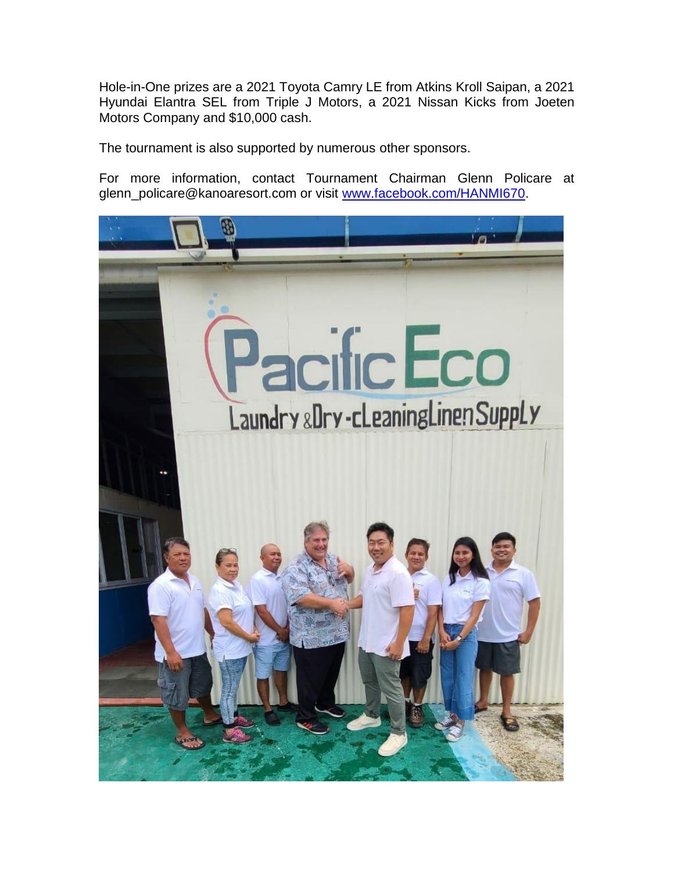Hole-in-One prizes are a 2021 Toyota Camry LE from Atkins Kroll Saipan, a 2021 Hyundai Elantra SEL from Triple J Motors, a 2021 Nissan Kicks from Joeten Motors Company and \$10,000 cash.

The tournament is also supported by numerous other sponsors.

For more information, contact Tournament Chairman Glenn Policare at glenn\_policare@kanoaresort.com or visit [www.facebook.com/HANMI670.](http://www.facebook.com/HANMI670)